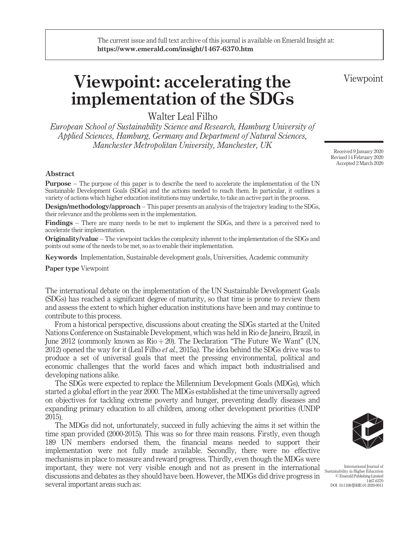# Viewpoint: accelerating the implementation of the SDGs

Walter Leal Filho

European School of Sustainability Science and Research, Hamburg University of Applied Sciences, Hamburg, Germany and Department of Natural Sciences, Manchester Metropolitan University, Manchester, UK

Abstract

Purpose – The purpose of this paper is to describe the need to accelerate the implementation of the UN Sustainable Development Goals (SDGs) and the actions needed to reach them. In particular, it outlines a variety of actions which higher education institutions may undertake, to take an active part in the process.

Design/methodology/approach – This paper presents an analysis of the trajectory leading to the SDGs, their relevance and the problems seen in the implementation.

Findings – There are many needs to be met to implement the SDGs, and there is a perceived need to accelerate their implementation.

**Originality/value** – The viewpoint tackles the complexity inherent to the implementation of the SDGs and points out some of the needs to be met, so as to enable their implementation.

Keywords Implementation, Sustainable development goals, Universities, Academic community

Paper type Viewpoint

The international debate on the implementation of the UN Sustainable Development Goals (SDGs) has reached a significant degree of maturity, so that time is prone to review them and assess the extent to which higher education institutions have been and may continue to contribute to this process.

From a historical perspective, discussions about creating the SDGs started at the United Nations Conference on Sustainable Development, which was held in Rio de Janeiro, Brazil, in June 2012 (commonly known as  $\text{Rio} + 20$ ). The Declaration "The Future We Want" (UN, 2012) opened the way for it (Leal Filho *et al.*, 2015a). The idea behind the SDGs drive was to produce a set of universal goals that meet the pressing environmental, political and economic challenges that the world faces and which impact both industrialised and developing nations alike.

The SDGs were expected to replace the Millennium Development Goals (MDGs), which started a global effort in the year 2000. The MDGs established at the time universally agreed on objectives for tackling extreme poverty and hunger, preventing deadly diseases and expanding primary education to all children, among other development priorities (UNDP 2015).

The MDGs did not, unfortunately, succeed in fully achieving the aims it set within the time span provided (2000-2015). This was so for three main reasons. Firstly, even though 189 UN members endorsed them, the financial means needed to support their implementation were not fully made available. Secondly, there were no effective mechanisms in place to measure and reward progress. Thirdly, even though the MDGs were important, they were not very visible enough and not as present in the international discussions and debates as they should have been. However, the MDGs did drive progress in several important areas such as:

International Journal of Sustainability in Higher Education © Emerald Publishing Limited 1467-6370 DOI 10.1108/IJSHE-01-2020-0011

Received 9 January 2020 Revised 14 February 2020 Accepted 2 March 2020

Viewpoint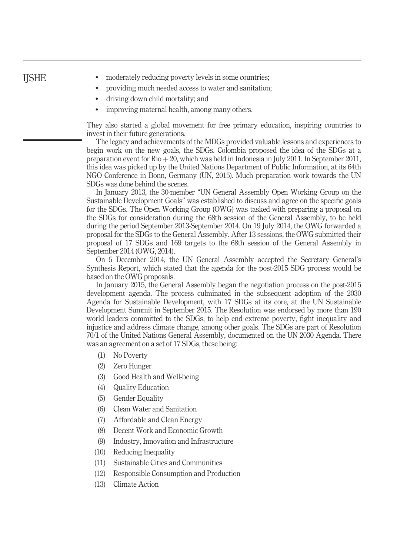## IJSHE

- moderately reducing poverty levels in some countries;
- providing much needed access to water and sanitation;
- driving down child mortality; and
- improving maternal health, among many others.

They also started a global movement for free primary education, inspiring countries to invest in their future generations.

The legacy and achievements of the MDGs provided valuable lessons and experiences to begin work on the new goals, the SDGs. Colombia proposed the idea of the SDGs at a preparation event for  $\text{Rio} + 20$ , which was held in Indonesia in July 2011. In September 2011, this idea was picked up by the United Nations Department of Public Information, at its 64th NGO Conference in Bonn, Germany (UN, 2015). Much preparation work towards the UN SDGs was done behind the scenes.

In January 2013, the 30-member "UN General Assembly Open Working Group on the Sustainable Development Goals" was established to discuss and agree on the specific goals for the SDGs. The Open Working Group (OWG) was tasked with preparing a proposal on the SDGs for consideration during the 68th session of the General Assembly, to be held during the period September 2013-September 2014. On 19 July 2014, the OWG forwarded a proposal for the SDGs to the General Assembly. After 13 sessions, the OWG submitted their proposal of 17 SDGs and 169 targets to the 68th session of the General Assembly in September 2014 (OWG, 2014).

On 5 December 2014, the UN General Assembly accepted the Secretary General's Synthesis Report, which stated that the agenda for the post-2015 SDG process would be based on the OWG proposals.

In January 2015, the General Assembly began the negotiation process on the post-2015 development agenda. The process culminated in the subsequent adoption of the 2030 Agenda for Sustainable Development, with 17 SDGs at its core, at the UN Sustainable Development Summit in September 2015. The Resolution was endorsed by more than 190 world leaders committed to the SDGs, to help end extreme poverty, fight inequality and injustice and address climate change, among other goals. The SDGs are part of Resolution 70/1 of the United Nations General Assembly, documented on the UN 2030 Agenda. There was an agreement on a set of 17 SDGs, these being:

- (1) No Poverty
- (2) Zero Hunger
- (3) Good Health and Well-being
- (4) Quality Education
- (5) Gender Equality
- (6) Clean Water and Sanitation
- (7) Affordable and Clean Energy
- (8) Decent Work and Economic Growth
- (9) Industry, Innovation and Infrastructure
- (10) Reducing Inequality
- (11) Sustainable Cities and Communities
- (12) Responsible Consumption and Production
- (13) Climate Action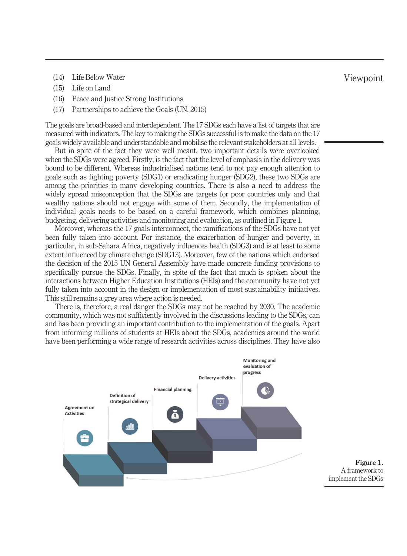- (14) Life Below Water
- (15) Life on Land
- (16) Peace and Justice Strong Institutions
- (17) Partnerships to achieve the Goals (UN, 2015)

The goals are broad-based and interdependent. The 17 SDGs each have a list of targets that are measured with indicators. The key to making the SDGs successful is to make the data on the 17 goals widely available and understandable and mobilise the relevant stakeholders at all levels.

But in spite of the fact they were well meant, two important details were overlooked when the SDGs were agreed. Firstly, is the fact that the level of emphasis in the delivery was bound to be different. Whereas industrialised nations tend to not pay enough attention to goals such as fighting poverty (SDG1) or eradicating hunger (SDG2), these two SDGs are among the priorities in many developing countries. There is also a need to address the widely spread misconception that the SDGs are targets for poor countries only and that wealthy nations should not engage with some of them. Secondly, the implementation of individual goals needs to be based on a careful framework, which combines planning, budgeting, delivering activities and monitoring and evaluation, as outlined in Figure 1.

Moreover, whereas the 17 goals interconnect, the ramifications of the SDGs have not yet been fully taken into account. For instance, the exacerbation of hunger and poverty, in particular, in sub-Sahara Africa, negatively influences health (SDG3) and is at least to some extent influenced by climate change (SDG13). Moreover, few of the nations which endorsed the decision of the 2015 UN General Assembly have made concrete funding provisions to specifically pursue the SDGs. Finally, in spite of the fact that much is spoken about the interactions between Higher Education Institutions (HEIs) and the community have not yet fully taken into account in the design or implementation of most sustainability initiatives. This still remains a grey area where action is needed.

There is, therefore, a real danger the SDGs may not be reached by 2030. The academic community, which was not sufficiently involved in the discussions leading to the SDGs, can and has been providing an important contribution to the implementation of the goals. Apart from informing millions of students at HEIs about the SDGs, academics around the world have been performing a wide range of research activities across disciplines. They have also



Figure 1. A framework to implement the SDGs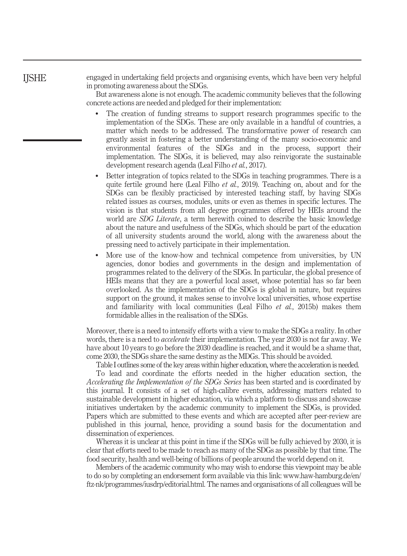## IJSHE

engaged in undertaking field projects and organising events, which have been very helpful in promoting awareness about the SDGs.

But awareness alone is not enough. The academic community believes that the following concrete actions are needed and pledged for their implementation:

- - The creation of funding streams to support research programmes specific to the implementation of the SDGs. These are only available in a handful of countries, a matter which needs to be addressed. The transformative power of research can greatly assist in fostering a better understanding of the many socio-economic and environmental features of the SDGs and in the process, support their implementation. The SDGs, it is believed, may also reinvigorate the sustainable development research agenda (Leal Filho et al., 2017).
- - Better integration of topics related to the SDGs in teaching programmes. There is a quite fertile ground here (Leal Filho  $et$   $al$ , 2019). Teaching on, about and for the SDGs can be flexibly practicised by interested teaching staff, by having SDGs related issues as courses, modules, units or even as themes in specific lectures. The vision is that students from all degree programmes offered by HEIs around the world are SDG Literate, a term herewith coined to describe the basic knowledge about the nature and usefulness of the SDGs, which should be part of the education of all university students around the world, along with the awareness about the pressing need to actively participate in their implementation.
- $\bullet$  More use of the know-how and technical competence from universities, by UN agencies, donor bodies and governments in the design and implementation of programmes related to the delivery of the SDGs. In particular, the global presence of HEIs means that they are a powerful local asset, whose potential has so far been overlooked. As the implementation of the SDGs is global in nature, but requires support on the ground, it makes sense to involve local universities, whose expertise and familiarity with local communities (Leal Filho  $et \ al.$ , 2015b) makes them formidable allies in the realisation of the SDGs.

Moreover, there is a need to intensify efforts with a view to make the SDGs a reality. In other words, there is a need to *accelerate* their implementation. The year 2030 is not far away. We have about 10 years to go before the 2030 deadline is reached, and it would be a shame that, come 2030, the SDGs share the same destiny as the MDGs. This should be avoided.

Table I outlines some of the key areas within higher education, where the acceleration is needed.

To lead and coordinate the efforts needed in the higher education section, the Accelerating the Implementation of the SDGs Series has been started and is coordinated by this journal. It consists of a set of high-calibre events, addressing matters related to sustainable development in higher education, via which a platform to discuss and showcase initiatives undertaken by the academic community to implement the SDGs, is provided. Papers which are submitted to these events and which are accepted after peer-review are published in this journal, hence, providing a sound basis for the documentation and dissemination of experiences.

Whereas it is unclear at this point in time if the SDGs will be fully achieved by 2030, it is clear that efforts need to be made to reach as many of the SDGs as possible by that time. The food security, health and well-being of billions of people around the world depend on it.

Members of the academic community who may wish to endorse this viewpoint may be able to do so by completing an endorsement form available via this link: [www.haw-hamburg.de/en/](http://www.haw-hamburg.de/en/ftz-nk/programmes/iusdrp/editorial.html) [ftz-nk/programmes/iusdrp/editorial.html](http://www.haw-hamburg.de/en/ftz-nk/programmes/iusdrp/editorial.html). The names and organisations of all colleagues will be